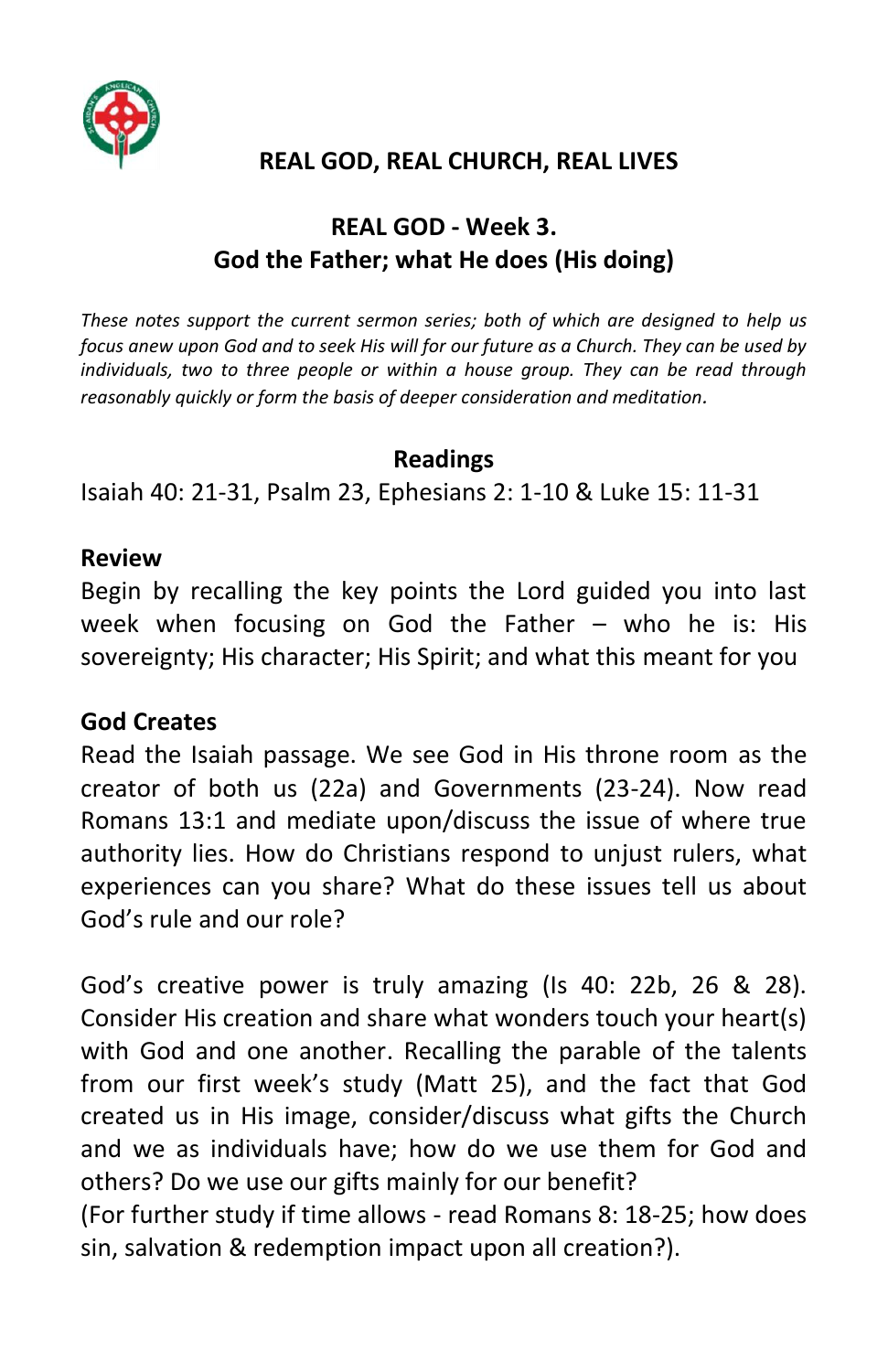

## **REAL GOD, REAL CHURCH, REAL LIVES**

# **REAL GOD - Week 3. God the Father; what He does (His doing)**

*These notes support the current sermon series; both of which are designed to help us focus anew upon God and to seek His will for our future as a Church. They can be used by individuals, two to three people or within a house group. They can be read through reasonably quickly or form the basis of deeper consideration and meditation.*

#### **Readings**

Isaiah 40: 21-31, Psalm 23, Ephesians 2: 1-10 & Luke 15: 11-31

#### **Review**

Begin by recalling the key points the Lord guided you into last week when focusing on God the Father – who he is: His sovereignty; His character; His Spirit; and what this meant for you

#### **God Creates**

Read the Isaiah passage. We see God in His throne room as the creator of both us (22a) and Governments (23-24). Now read Romans 13:1 and mediate upon/discuss the issue of where true authority lies. How do Christians respond to unjust rulers, what experiences can you share? What do these issues tell us about God's rule and our role?

God's creative power is truly amazing (Is 40: 22b, 26 & 28). Consider His creation and share what wonders touch your heart(s) with God and one another. Recalling the parable of the talents from our first week's study (Matt 25), and the fact that God created us in His image, consider/discuss what gifts the Church and we as individuals have; how do we use them for God and others? Do we use our gifts mainly for our benefit?

(For further study if time allows - read Romans 8: 18-25; how does sin, salvation & redemption impact upon all creation?).